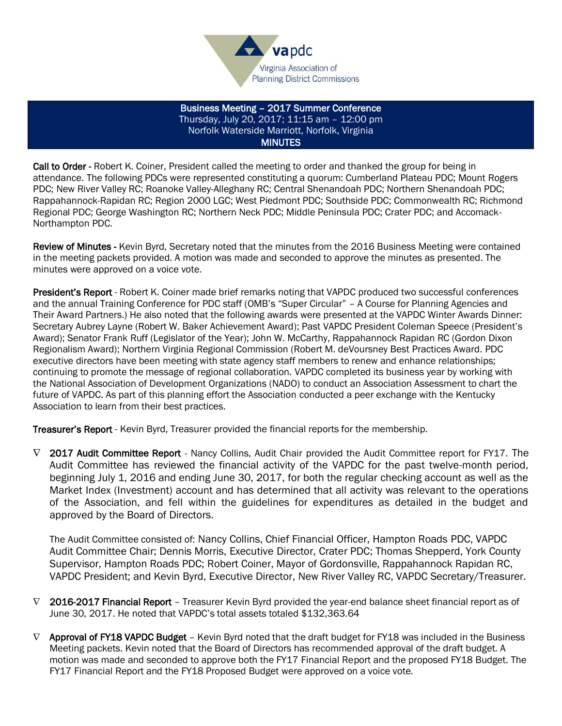

Business Meeting – 2017 Summer Conference Thursday, July 20, 2017; 11:15 am – 12:00 pm Norfolk Waterside Marriott, Norfolk, Virginia **MINUTES** 

Call to Order - Robert K. Coiner, President called the meeting to order and thanked the group for being in attendance. The following PDCs were represented constituting a quorum: Cumberland Plateau PDC; Mount Rogers PDC; New River Valley RC; Roanoke Valley-Alleghany RC; Central Shenandoah PDC; Northern Shenandoah PDC; Rappahannock-Rapidan RC; Region 2000 LGC; West Piedmont PDC; Southside PDC; Commonwealth RC; Richmond Regional PDC; George Washington RC; Northern Neck PDC; Middle Peninsula PDC; Crater PDC; and Accomack-Northampton PDC.

Review of Minutes - Kevin Byrd, Secretary noted that the minutes from the 2016 Business Meeting were contained in the meeting packets provided. A motion was made and seconded to approve the minutes as presented. The minutes were approved on a voice vote.

President's Report - Robert K. Coiner made brief remarks noting that VAPDC produced two successful conferences and the annual Training Conference for PDC staff (OMB's "Super Circular" – A Course for Planning Agencies and Their Award Partners.) He also noted that the following awards were presented at the VAPDC Winter Awards Dinner: Secretary Aubrey Layne (Robert W. Baker Achievement Award); Past VAPDC President Coleman Speece (President's Award); Senator Frank Ruff (Legislator of the Year); John W. McCarthy, Rappahannock Rapidan RC (Gordon Dixon Regionalism Award); Northern Virginia Regional Commission (Robert M. deVoursney Best Practices Award. PDC executive directors have been meeting with state agency staff members to renew and enhance relationships; continuing to promote the message of regional collaboration. VAPDC completed its business year by working with the National Association of Development Organizations (NADO) to conduct an Association Assessment to chart the future of VAPDC. As part of this planning effort the Association conducted a peer exchange with the Kentucky Association to learn from their best practices.

Treasurer's Report - Kevin Byrd, Treasurer provided the financial reports for the membership.

 $\nabla$  2017 Audit Committee Report - Nancy Collins, Audit Chair provided the Audit Committee report for FY17. The Audit Committee has reviewed the financial activity of the VAPDC for the past twelve-month period, beginning July 1, 2016 and ending June 30, 2017, for both the regular checking account as well as the Market Index (Investment) account and has determined that all activity was relevant to the operations of the Association, and fell within the guidelines for expenditures as detailed in the budget and approved by the Board of Directors.

The Audit Committee consisted of: Nancy Collins, Chief Financial Officer, Hampton Roads PDC, VAPDC Audit Committee Chair; Dennis Morris, Executive Director, Crater PDC; Thomas Shepperd, York County Supervisor, Hampton Roads PDC; Robert Coiner, Mayor of Gordonsville, Rappahannock Rapidan RC, VAPDC President; and Kevin Byrd, Executive Director, New River Valley RC, VAPDC Secretary/Treasurer.

- $\nabla$  2016-2017 Financial Report Treasurer Kevin Byrd provided the year-end balance sheet financial report as of June 30, 2017. He noted that VAPDC's total assets totaled \$132,363.64
- $\nabla$  Approval of FY18 VAPDC Budget Kevin Byrd noted that the draft budget for FY18 was included in the Business Meeting packets. Kevin noted that the Board of Directors has recommended approval of the draft budget. A motion was made and seconded to approve both the FY17 Financial Report and the proposed FY18 Budget. The FY17 Financial Report and the FY18 Proposed Budget were approved on a voice vote.